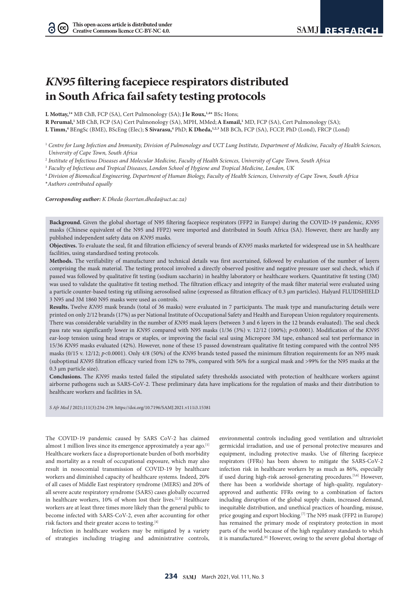# *KN95* **filtering facepiece respirators distributed in South Africa fail safety testing protocols**

**L Mottay,1 \*** MB ChB, FCP (SA), Cert Pulmonology (SA); **J le Roux,1,4\*** BSc Hons;

**R Perumal,1** MB ChB, FCP (SA) Cert Pulmonology (SA), MPH, MMed;**A Esmail,1** MD, FCP (SA), Cert Pulmonology (SA);

**L Timm,4** BEngSc (BME), BScEng (Elec); **S Sivarasu,4** PhD; **K Dheda,1,2,3** MB BCh, FCP (SA), FCCP, PhD (Lond), FRCP (Lond)

<sup>1</sup> Centre for Lung Infection and Immunity, Division of Pulmonology and UCT Lung Institute, Department of Medicine, Faculty of Health Sciences, *University of Cape Town, South Africa*

<sup>2</sup> *Institute of Infectious Diseases and Molecular Medicine, Faculty of Health Sciences, University of Cape Town, South Africa*

<sup>3</sup> *Faculty of Infectious and Tropical Diseases, London School of Hygiene and Tropical Medicine, London, UK*

<sup>4</sup> *Division of Biomedical Engineering, Department of Human Biology, Faculty of Health Sciences, University of Cape Town, South Africa* \**Authors contributed equally*

*Corresponding author: K Dheda (keertan.dheda@uct.ac.za)*

**Background.** Given the global shortage of N95 filtering facepiece respirators (FFP2 in Europe) during the COVID-19 pandemic, *KN95* masks (Chinese equivalent of the N95 and FFP2) were imported and distributed in South Africa (SA). However, there are hardly any published independent safety data on *KN95* masks.

**Objectives.** To evaluate the seal, fit and filtration efficiency of several brands of *KN95* masks marketed for widespread use in SA healthcare facilities, using standardised testing protocols.

**Methods.** The verifiability of manufacturer and technical details was first ascertained, followed by evaluation of the number of layers comprising the mask material. The testing protocol involved a directly observed positive and negative pressure user seal check, which if passed was followed by qualitative fit testing (sodium saccharin) in healthy laboratory or healthcare workers. Quantitative fit testing (3M) was used to validate the qualitative fit testing method. The filtration efficacy and integrity of the mask filter material were evaluated using a particle counter-based testing rig utilising aerosolised saline (expressed as filtration efficacy of 0.3 µm particles). Halyard FLUIDSHIELD 3 N95 and 3M 1860 N95 masks were used as controls.

**Results.** Twelve *KN95* mask brands (total of 36 masks) were evaluated in 7 participants. The mask type and manufacturing details were printed on only 2/12 brands (17%) as per National Institute of Occupational Safety and Health and European Union regulatory requirements. There was considerable variability in the number of *KN95* mask layers (between 3 and 6 layers in the 12 brands evaluated). The seal check pass rate was significantly lower in *KN95* compared with N95 masks (1/36 (3%) v. 12/12 (100%); *p*<0.0001). Modification of the *KN95*  ear-loop tension using head straps or staples, or improving the facial seal using Micropore 3M tape, enhanced seal test performance in 15/36 *KN95* masks evaluated (42%). However, none of these 15 passed downstream qualitative fit testing compared with the control N95 masks (0/15 v. 12/12; *p*<0.0001). Only 4/8 (50%) of the *KN95* brands tested passed the minimum filtration requirements for an N95 mask (suboptimal *KN95* filtration efficacy varied from 12% to 78%, compared with 56% for a surgical mask and >99% for the N95 masks at the 0.3 µm particle size).

**Conclusions.** The *KN95* masks tested failed the stipulated safety thresholds associated with protection of healthcare workers against airborne pathogens such as SARS-CoV-2. These preliminary data have implications for the regulation of masks and their distribution to healthcare workers and facilities in SA.

*S Afr Med J* 2021;111(3):234-239. https://doi.org/10.7196/SAMJ.2021.v111i3.15381

The COVID-19 pandemic caused by SARS CoV-2 has claimed almost 1 million lives since its emergence approximately a year ago.<sup>[1]</sup> Healthcare workers face a disproportionate burden of both morbidity and mortality as a result of occupational exposure, which may also result in nosocomial transmission of COVID-19 by healthcare workers and diminished capacity of healthcare systems. Indeed, 20% of all cases of Middle East respiratory syndrome (MERS) and 20% of all severe acute respiratory syndrome (SARS) cases globally occurred in healthcare workers, 10% of whom lost their lives.[2,3] Healthcare workers are at least three times more likely than the general public to become infected with SARS-CoV-2, even after accounting for other risk factors and their greater access to testing.<sup>[4]</sup>

Infection in healthcare workers may be mitigated by a variety of strategies including triaging and administrative controls, environmental controls including good ventilation and ultraviolet germicidal irradiation, and use of personal protective measures and equipment, including protective masks. Use of filtering facepiece respirators (FFRs) has been shown to mitigate the SARS-CoV-2 infection risk in healthcare workers by as much as 86%, especially if used during high-risk aerosol-generating procedures.[5,6] However, there has been a worldwide shortage of high-quality, regulatoryapproved and authentic FFRs owing to a combination of factors including disruption of the global supply chain, increased demand, inequitable distribution, and unethical practices of hoarding, misuse, price gouging and export blocking.<sup>[7]</sup> The N95 mask (FFP2 in Europe) has remained the primary mode of respiratory protection in most parts of the world because of the high regulatory standards to which it is manufactured.<sup>[8]</sup> However, owing to the severe global shortage of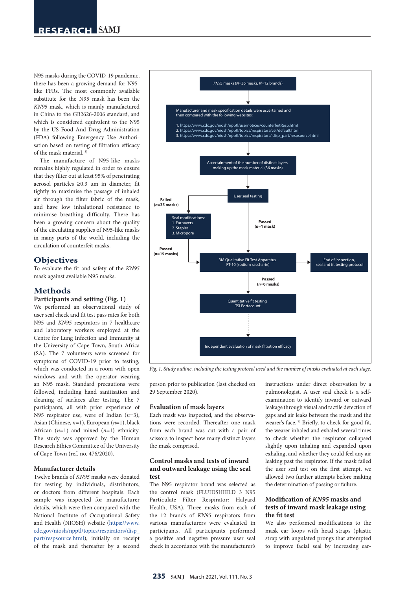# **RESEARCH**

N95 masks during the COVID-19 pandemic, there has been a growing demand for N95 like FFRs. The most commonly available substitute for the N95 mask has been the *KN95* mask, which is mainly manufactured in China to the GB2626-2006 standard, and which is considered equivalent to the N95 by the US Food And Drug Administration (FDA) following Emergency Use Authorisation based on testing of filtration efficacy of the mask material.[8]

The manufacture of N95-like masks remains highly regulated in order to ensure that they filter out at least 95% of penetrating aerosol particles ≥0.3 µm in diameter, fit tightly to maximise the passage of inhaled air through the filter fabric of the mask, and have low inhalational resistance to minimise breathing difficulty. There has been a growing concern about the quality of the circulating supplies of N95-like masks in many parts of the world, including the circulation of counterfeit masks.

# **Objectives**

To evaluate the fit and safety of the *KN95* mask against available N95 masks.

# **Methods**

# **Participants and setting (Fig. 1)**

We performed an observational study of user seal check and fit test pass rates for both N95 and *KN95* respirators in 7 healthcare and laboratory workers employed at the Centre for Lung Infection and Immunity at the University of Cape Town, South Africa (SA). The 7 volunteers were screened for symptoms of COVID-19 prior to testing, which was conducted in a room with open windows and with the operator wearing an N95 mask. Standard precautions were followed, including hand sanitisation and cleaning of surfaces after testing. The 7 participants, all with prior experience of N95 respirator use, were of Indian (*n*=3), Asian (Chinese, *n*=1), European (*n*=1), black African (*n*=1) and mixed (*n*=1) ethnicity. The study was approved by the Human Research Ethics Committee of the University of Cape Town (ref. no. 476/2020).

# **Manufacturer details**

Twelve brands of *KN95* masks were donated for testing by individuals, distributors, or doctors from different hospitals. Each sample was inspected for manufacturer details, which were then compared with the National Institute of Occupational Safety and Health (NIOSH) website ([https://www.](https://www.cdc.gov/niosh/npptl/topics/respirators/disp_part/respsource.html) [cdc.gov/niosh/npptl/topics/respirators/disp\\_](https://www.cdc.gov/niosh/npptl/topics/respirators/disp_part/respsource.html) [part/respsource.html](https://www.cdc.gov/niosh/npptl/topics/respirators/disp_part/respsource.html)), initially on receipt of the mask and thereafter by a second



*Fig. 1. Study outline, including the testing protocol used and the number of masks evaluated at each stage.* 

person prior to publication (last checked on 29 September 2020).

#### **Evaluation of mask layers**

Each mask was inspected, and the observations were recorded. Thereafter one mask from each brand was cut with a pair of scissors to inspect how many distinct layers the mask comprised.

# **Control masks and tests of inward and outward leakage using the seal test**

The N95 respirator brand was selected as the control mask (FLUIDSHIELD 3 N95 Particulate Filter Respirator; Halyard Health, USA). Three masks from each of the 12 brands of *KN95* respirators from various manufacturers were evaluated in participants. All participants performed a positive and negative pressure user seal check in accordance with the manufacturer's

instructions under direct observation by a pulmonologist. A user seal check is a selfexamination to identify inward or outward leakage through visual and tactile detection of gaps and air leaks between the mask and the wearer's face.<sup>[9]</sup> Briefly, to check for good fit, the wearer inhaled and exhaled several times to check whether the respirator collapsed slightly upon inhaling and expanded upon exhaling, and whether they could feel any air leaking past the respirator. If the mask failed the user seal test on the first attempt, we allowed two further attempts before making the determination of passing or failure.

# **Modification of** *KN95* **masks and tests of inward mask leakage using the fit test**

We also performed modifications to the mask ear loops with head straps (plastic strap with angulated prongs that attempted to improve facial seal by increasing ear-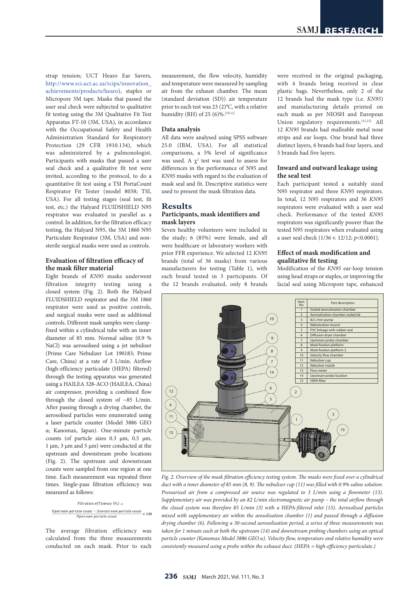strap tension; UCT Hearo Ear Savers, [http://www.rci.uct.ac.za/rcips/innovation\\_](http://www.rci.uct.ac.za/rcips/innovation_achievements/products/hearo) [achievements/products/hearo\)](http://www.rci.uct.ac.za/rcips/innovation_achievements/products/hearo), staples or Micropore 3M tape. Masks that passed the user seal check were subjected to qualitative fit testing using the 3M Qualitative Fit Test Apparatus FT-10 (3M, USA), in accordance with the Occupational Safety and Health Administration Standard for Respiratory Protection (29 CFR 1910.134), which was administered by a pulmonologist. Participants with masks that passed a user seal check and a qualitative fit test were invited, according to the protocol, to do a quantitative fit test using a TSI PortaCount Respirator Fit Tester (model 8038; TSI, USA). For all testing stages (seal test, fit test, etc.) the Halyard FLUIDSHIELD N95 respirator was evaluated in parallel as a control. In addition, for the filtration efficacy testing, the Halyard N95, the 3M 1860 N95 Particulate Respirator (3M, USA) and nonsterile surgical masks were used as controls.

# **Evaluation of filtration efficacy of the mask filter material**

Eight brands of *KN95* masks underwent filtration integrity testing using a closed system (Fig. 2). Both the Halyard FLUIDSHIELD respirator and the 3M 1860 respirator were used as positive controls, and surgical masks were used as additional controls. Different mask samples were clampfixed within a cylindrical tube with an inner diameter of 85 mm. Normal saline (0.9 % NaCl) was aerosolised using a jet nebuliser (Prime Care Nebulizer Lot 190183; Prime Care, China) at a rate of 3 L/min. Airflow (high-efficiency particulate (HEPA) filtered) through the testing apparatus was generated using a HAILEA 328-ACO (HAILEA, China) air compressor, providing a combined flow through the closed system of ~85 L/min. After passing through a drying chamber, the aerosolised particles were enumerated using a laser particle counter (Model 3886 GEO α; Kanomax, Japan). One-minute particle counts (of particle sizes  $0.3 \mu m$ ,  $0.5 \mu m$ , 1 µm, 3 µm and 5 µm) were conducted at the upstream and downstream probe locations (Fig. 2). The upstream and downstream counts were sampled from one region at one time. Each measurement was repeated three times. Single-pass filtration efficiency was measured as follows:

Filtration efficiency  $(\%) =$  $\frac{Upstream\ particle\ count - Downstream\ particle\ count}{W} \times 100$ Upstream particle count

The average filtration efficiency was calculated from the three measurements conducted on each mask. Prior to each

measurement, the flow velocity, humidity and temperature were measured by sampling air from the exhaust chamber. The mean (standard deviation (SD)) air temperature prior to each test was 23 (2)**°**C, with a relative humidity (RH) of 25 (6)%.<sup>[10,11]</sup>

#### **Data analysis**

All data were analysed using SPSS software 25.0 (IBM, USA). For all statistical comparisons, a 5% level of significance was used. A  $\chi^2$  test was used to assess for differences in the performance of N95 and *KN95* masks with regard to the evaluation of mask seal and fit. Descriptive statistics were used to present the mask filtration data.

# **Results Participants, mask identifiers and mask layers**

Seven healthy volunteers were included in the study; 6 (85%) were female, and all were healthcare or laboratory workers with prior FFR experience. We selected 12 *KN95*  brands (total of 36 masks) from various manufacturers for testing (Table 1), with each brand tested in 3 participants. Of the 12 brands evaluated, only 8 brands were received in the original packaging, with 4 brands being received in clear plastic bags. Nevertheless, only 2 of the 12 brands had the mask type (i.e. *KN95*) and manufacturing details printed on each mask as per NIOSH and European Union regulatory requirements.<sup>[12,13]</sup> All 12 *KN95* brands had malleable metal nose strips and ear loops. One brand had three distinct layers, 6 brands had four layers, and 5 brands had five layers.

# **Inward and outward leakage using the seal test**

Each participant tested a suitably sized N95 respirator and three *KN95* respirators. In total, 12 N95 respirators and 36 *KN95* respirators were evaluated with a user seal check. Performance of the tested *KN95* respirators was significantly poorer than the tested N95 respirators when evaluated using a user seal check (1/36 v. 12/12; *p*<0.0001).

# **Effect of mask modification and qualitative fit testing**

Modification of the *KN95* ear-loop tension using head straps or staples, or improving the facial seal using Micropore tape, enhanced



*Fig. 2. Overview of the mask filtration efficiency testing system. The masks were fixed over a cylindrical duct with a inner diameter of 85 mm (8, 9). The nebuliser cup (11) was filled with 0.9% saline solution. Pressurised air from a compressed air source was regulated to 3 L/min using a flowmeter (13). Supplementary air was provided by an 82 L/min electromagnetic air pump – the total airflow through the closed system was therefore 85 L/min (3) with a HEPA-filtered inlet (15). Aerosolised particles mixed with supplementary air within the arosolisation chamber (1) and passed through a diffusion drying chamber (6). Following a 30-second aerosolisation period, a series of three measurements was taken for 1 minute each at both the upstream (14) and downstream probing chambers using an optical particle counter (Kanomax Model 3886 GEO α). Velocity flow, temperature and relative humidity were consistently measured using a probe within the exhaust duct. (HEPA = high-efficiency particulate.)*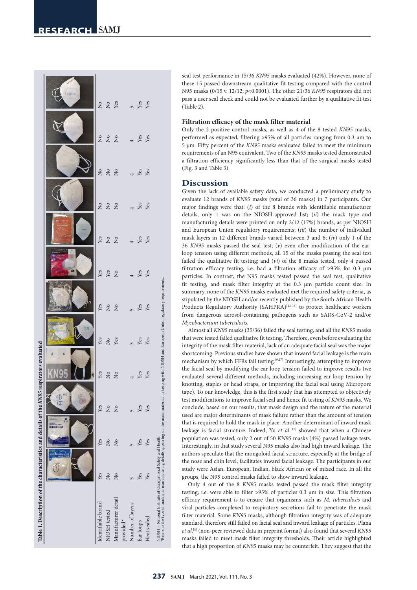| Table 1. Description of the characteristics and details of the KN95 respirators evaluated                                                                                                                               |                         |               |                         |                                                                                                                    |                               |                                                                                                                                                                                                |                               |             |            |            |                   |
|-------------------------------------------------------------------------------------------------------------------------------------------------------------------------------------------------------------------------|-------------------------|---------------|-------------------------|--------------------------------------------------------------------------------------------------------------------|-------------------------------|------------------------------------------------------------------------------------------------------------------------------------------------------------------------------------------------|-------------------------------|-------------|------------|------------|-------------------|
|                                                                                                                                                                                                                         |                         | 用防护口罩         | $\frac{4}{4}$           |                                                                                                                    | ¥9<br>$\hat{\mathbf{S}}$      | 86                                                                                                                                                                                             |                               |             |            |            |                   |
| Identifiable brand                                                                                                                                                                                                      | Yes                     | Yes           | Yes                     |                                                                                                                    |                               |                                                                                                                                                                                                |                               |             |            |            |                   |
| NIOSH tested                                                                                                                                                                                                            | $\overline{\mathsf{X}}$ | $\frac{1}{2}$ | $\overline{\mathsf{X}}$ |                                                                                                                    |                               |                                                                                                                                                                                                |                               |             |            |            |                   |
| Manufacturer detail                                                                                                                                                                                                     | $\overline{\mathsf{X}}$ | $\frac{1}{2}$ | $\overline{X}$          |                                                                                                                    |                               |                                                                                                                                                                                                |                               |             |            |            |                   |
| provided*                                                                                                                                                                                                               |                         |               |                         |                                                                                                                    |                               |                                                                                                                                                                                                |                               |             |            |            |                   |
| Number of layers                                                                                                                                                                                                        |                         |               |                         |                                                                                                                    |                               |                                                                                                                                                                                                |                               |             |            |            |                   |
| Ear loops                                                                                                                                                                                                               | Yes                     | Yes           | Yes                     | $\begin{array}{ccc}\n\text{Yes} & \text{Yes} \\ \text{Yes} & \text{Yes} \\ \text{Yes} & \text{Yes} \\ \end{array}$ | Yes<br>Yes<br>3<br>Yes<br>Yes | $\begin{tabular}{ll} \bf \textit{Yes} \\ \textit{X} & \textit{S} \\ \textit{X} & \textit{S} \\ \textit{X} & \textit{S} \\ \textit{X} & \textit{S} \\ \textit{X} & \textit{S} \\ \end{tabular}$ | Yes<br>Yes<br>4<br>Yes<br>Yes | $222$ $+20$ | $222 + 12$ | $222 + 28$ | $228$ $528$ $528$ |
| Heat sealed                                                                                                                                                                                                             | Yes                     | Yes           | Yes                     |                                                                                                                    |                               |                                                                                                                                                                                                |                               |             |            |            |                   |
| Refers to the type of mask and manufacturing details appearing on the mask material, in keeping with NIOSH and European Union regulatory requirements.<br>NIOSH = National Institute of Occupational Safety and Health. |                         |               |                         |                                                                                                                    |                               |                                                                                                                                                                                                |                               |             |            |            |                   |

seal test performance in 15/36 *KN95* masks evaluated (42%). However, none of these 15 passed downstream qualitative fit testing compared with the control N95 masks (0/15 v. 12/12; *p*<0.0001). The other 21/36 *KN95* respirators did not pass a user seal check and could not be evaluated further by a qualitative fit test (Table 2).

#### **Filtration efficacy of the mask filter material**

Only the 2 positive control masks, as well as 4 of the 8 tested *KN95* masks, performed as expected, filtering >95% of all particles ranging from 0.3 µm to 5 µm. Fifty percent of the *KN95* masks evaluated failed to meet the minimum requirements of an N95 equivalent. Two of the *KN95* masks tested demonstrated a filtration efficiency significantly less than that of the surgical masks tested (Fig. 3 and Table 3).

#### **Discussion**

Given the lack of available safety data, we conducted a preliminary study to evaluate 12 brands of *KN95* masks (total of 36 masks) in 7 participants. Our major findings were that: ( *i*) of the 8 brands with identifiable manufacturer details, only 1 was on the NIOSH-approved list; (*ii*) the mask type and manufacturing details were printed on only 2/12 (17%) brands, as per NIOSH and European Union regulatory requirements; (*iii*) the number of individual mask layers in 12 different brands varied between 3 and 6; (*iv*) only 1 of the 36 *KN95* masks passed the seal test; ( *v*) even after modification of the earloop tension using different methods, all 15 of the masks passing the seal test failed the qualitative fit testing; and (*vi*) of the 8 masks tested, only 4 passed filtration efficacy testing, i.e. had a filtration efficacy of >95% for 0.3 µm particles. In contrast, the N95 masks tested passed the seal test, qualitative fit testing, and mask filter integrity at the 0.3 µm particle count size. In summary, none of the *KN95* masks evaluated met the required safety criteria, as stipulated by the NIOSH and/or recently published by the South African Health Products Regulatory Authority (SAHPRA)<sup>[13-16]</sup> to protect healthcare workers from dangerous aerosol-containing pathogens such as SARS-CoV-2 and/or *Mycobacterium tuberculosis* .

Almost all *KN95* masks (35/36) failed the seal testing, and all the *KN95* masks that were tested failed qualitative fit testing. Therefore, even before evaluating the integrity of the mask filter material, lack of an adequate facial seal was the major shortcoming. Previous studies have shown that inward facial leakage is the main mechanism by which FFRs fail testing.(9,17) Interestingly, attempting to improve the facial seal by modifying the ear-loop tension failed to improve results (we evaluated several different methods, including increasing ear-loop tension by knotting, staples or head straps, or improving the facial seal using Micropore tape). To our knowledge, this is the first study that has attempted to objectively test modifications to improve facial seal and hence fit testing of *KN95* masks. We conclude, based on our results, that mask design and the nature of the material used are major determinants of mask failure rather than the amount of tension that is required to hold the mask in place. Another determinant of inward mask leakage is facial structure. Indeed, Yu *et al* . [17] showed that when a Chinese population was tested, only 2 out of 50 *KN95* masks (4%) passed leakage tests. Interestingly, in that study several N95 masks also had high inward leakage. The authors speculate that the mongoloid facial structure, especially at the bridge of the nose and chin level, facilitates inward facial leakage. The participants in our study were Asian, European, Indian, black African or of mixed race. In all the groups, the N95 control masks failed to show inward leakage.

Only 4 out of the 8 *KN95* masks tested passed the mask filter integrity testing, i.e. were able to filter >95% of particles 0.3 µm in size. This filtration efficacy requirement is to ensure that organisms such as *M. tuberculosis* and viral particles complexed to respiratory secretions fail to penetrate the mask filter material. Some *KN95* masks, although filtration integrity was of adequate standard, therefore still failed on facial seal and inward leakage of particles. Plana *et al* . [8] (non-peer reviewed data in preprint format) also found that several *KN95* masks failed to meet mask filter integrity thresholds. Their article highlighted that a high proportion of *KN95* masks may be counterfeit. They suggest that the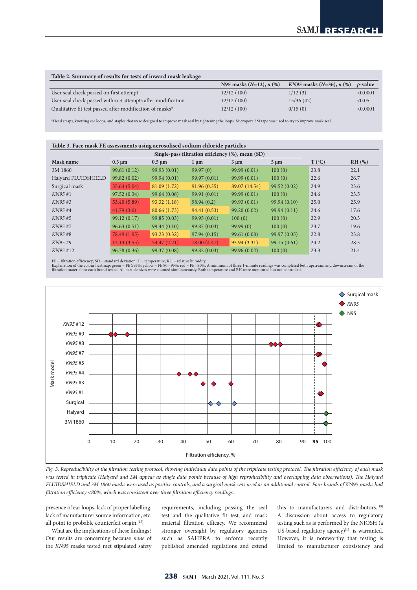#### **Table 2. Summary of results for tests of inward mask leakage**

|                                                             | N95 masks $(N=12)$ , $n$ $(\%)$ | KN95 masks $(N=36)$ , n $(\%)$ | <i>t</i> -value |
|-------------------------------------------------------------|---------------------------------|--------------------------------|-----------------|
| User seal check passed on first attempt                     | 12/12(100)                      | 1/12(3)                        | < 0.0001        |
| User seal check passed within 3 attempts after modification | 12/12(100)                      | 15/36(42)                      | < 0.05          |
| Qualitative fit test passed after modification of masks*    | 12/12(100)                      | 0/15(0)                        | < 0.0001        |

\*Head straps, knotting ear loops, and staples that were designed to improve mask seal by tightening the loops. Micropore 3M tape was used to try to improve mask seal.

| Table 3. Face mask FE assessments using aerosolised sodium chloride particles |              |              |              |                                                  |             |                 |          |  |
|-------------------------------------------------------------------------------|--------------|--------------|--------------|--------------------------------------------------|-------------|-----------------|----------|--|
|                                                                               |              |              |              | Single-pass filtration efficiency (%), mean (SD) |             |                 |          |  |
| Mask name                                                                     | $0.3 \mu m$  | $0.5 \mu m$  | $1 \mu m$    | $3 \mu m$                                        | $5 \mu m$   | $T (^{\circ}C)$ | $RH$ (%) |  |
| 3M 1860                                                                       | 99.61(0.12)  | 99.93(0.01)  | 99.97(0)     | 99.99(0.01)                                      | 100(0)      | 23.8            | 22.1     |  |
| Halyard FLUIDSHIELD                                                           | 99.82(0.02)  | 99.94 (0.01) | 99.97(0.01)  | 99.99(0.01)                                      | 100(0)      | 22.6            | 26.7     |  |
| Surgical mask                                                                 | 55.64(5.04)  | 81.09(1.72)  | 91.96(0.35)  | 89.07 (14.54)                                    | 99.52(0.02) | 24.9            | 23.6     |  |
| KN95 #1                                                                       | 97.52(0.34)  | 99.64(0.06)  | 99.91(0.01)  | 99.99(0.01)                                      | 100(0)      | 24.6            | 23.5     |  |
| KN95#3                                                                        | 53.40 (5.89) | 93.32(1.18)  | 98.94(0.2)   | 99.93(0.01)                                      | 99.94(0.10) | 25.0            | 25.9     |  |
| KN95#4                                                                        | 41.79(3.6)   | 80.66 (1.73) | 94.41 (0.53) | 99.20(0.02)                                      | 99.94(0.11) | 24.6            | 17.6     |  |
| KN95 #5                                                                       | 99.12(0.17)  | 99.85(0.03)  | 99.95(0.01)  | 100(0)                                           | 100(0)      | 22.9            | 20.3     |  |
| KN95 #7                                                                       | 96.63(0.51)  | 99.44(0.10)  | 99.87(0.03)  | 99.99(0)                                         | 100(0)      | 23.7            | 19.6     |  |
| KN95#8                                                                        | 78.49 (1.95) | 93.23(0.32)  | 97.94(0.15)  | 99.61(0.08)                                      | 99.97(0.05) | 22.8            | 23.8     |  |
| KN95 #9                                                                       | 12.13(3.55)  | 54.47(2.21)  | 78.00 (4.47) | 93.94(3.31)                                      | 99.15(0.61) | 24.2            | 28.3     |  |
| KN95 #12                                                                      | 96.78(0.36)  | 99.37 (0.08) | 99.82(0.03)  | 99.96 (0.02)                                     | 100(0)      | 23.3            | 21.4     |  |

FE = filtration efficiency; SD = standard deviation; T = temperature; RH = relative humidity.<br>Explanation of the colour heatmap: green = FE 295%; yellow = FE 80 - 95%; red = FE <80%. A minimum of three 1-minute readings wa



*Fig. 3. Reproducibility of the filtration testing protocol, showing individual data points of the triplicate testing protocol. The filtration efficiency of each mask*  was tested in triplicate (Halyard and 3M appear as single data points because of high reproducibility and overlapping data observations). The Halyard *FLUIDSHIELD and 3M 1860 masks were used as positive controls, and a surgical mask was used as an additional control. Four brands of* KN95 *masks had filtration efficiency <80%, which was consistent over three filtration efficiency readings.*

presence of ear loops, lack of proper labelling, lack of manufacturer source information, etc. all point to probable counterfeit origin.[15]

What are the implications of these findings? Our results are concerning because *none* of the *KN95* masks tested met stipulated safety requirements, including passing the seal test and the qualitative fit test, and mask material filtration efficacy. We recommend stronger oversight by regulatory agencies such as SAHPRA to enforce recently published amended regulations and extend

this to manufacturers and distributors.<sup>[18]</sup> A discussion about access to regulatory testing such as is performed by the NIOSH (a US-based regulatory agency) $[15]$  is warranted. However, it is noteworthy that testing is limited to manufacturer consistency and